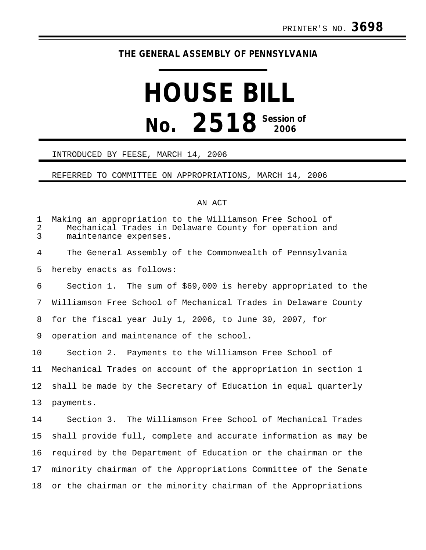## **THE GENERAL ASSEMBLY OF PENNSYLVANIA**

# **HOUSE BILL No.** 2518<sup> Session of</sup>

#### INTRODUCED BY FEESE, MARCH 14, 2006

#### REFERRED TO COMMITTEE ON APPROPRIATIONS, MARCH 14, 2006

### AN ACT

| 1<br>$\overline{a}$<br>$\overline{3}$ | Making an appropriation to the Williamson Free School of<br>Mechanical Trades in Delaware County for operation and<br>maintenance expenses. |
|---------------------------------------|---------------------------------------------------------------------------------------------------------------------------------------------|
| 4                                     | The General Assembly of the Commonwealth of Pennsylvania                                                                                    |
| 5                                     | hereby enacts as follows:                                                                                                                   |
| 6                                     | Section 1. The sum of \$69,000 is hereby appropriated to the                                                                                |
| 7                                     | Williamson Free School of Mechanical Trades in Delaware County                                                                              |
| 8                                     | for the fiscal year July 1, 2006, to June 30, 2007, for                                                                                     |
| 9                                     | operation and maintenance of the school.                                                                                                    |
| 10                                    | Section 2. Payments to the Williamson Free School of                                                                                        |
| 11                                    | Mechanical Trades on account of the appropriation in section 1                                                                              |
| 12                                    | shall be made by the Secretary of Education in equal quarterly                                                                              |
| 13                                    | payments.                                                                                                                                   |
| 14                                    | Section 3. The Williamson Free School of Mechanical Trades                                                                                  |
| 15                                    | shall provide full, complete and accurate information as may be                                                                             |
| 16                                    | required by the Department of Education or the chairman or the                                                                              |
| 17                                    | minority chairman of the Appropriations Committee of the Senate                                                                             |
| 18                                    | or the chairman or the minority chairman of the Appropriations                                                                              |